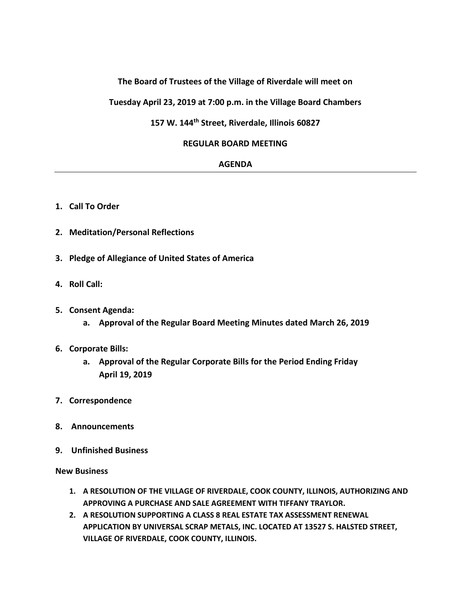# **The Board of Trustees of the Village of Riverdale will meet on**

**Tuesday April 23, 2019 at 7:00 p.m. in the Village Board Chambers**

### **157 W. 144th Street, Riverdale, Illinois 60827**

### **REGULAR BOARD MEETING**

#### **AGENDA**

- **1. Call To Order**
- **2. Meditation/Personal Reflections**
- **3. Pledge of Allegiance of United States of America**
- **4. Roll Call:**
- **5. Consent Agenda:**
	- **a. Approval of the Regular Board Meeting Minutes dated March 26, 2019**
- **6. Corporate Bills:**
	- **a. Approval of the Regular Corporate Bills for the Period Ending Friday April 19, 2019**
- **7. Correspondence**
- **8. Announcements**
- **9. Unfinished Business**

#### **New Business**

- **1. A RESOLUTION OF THE VILLAGE OF RIVERDALE, COOK COUNTY, ILLINOIS, AUTHORIZING AND APPROVING A PURCHASE AND SALE AGREEMENT WITH TIFFANY TRAYLOR.**
- **2. A RESOLUTION SUPPORTING A CLASS 8 REAL ESTATE TAX ASSESSMENT RENEWAL APPLICATION BY UNIVERSAL SCRAP METALS, INC. LOCATED AT 13527 S. HALSTED STREET, VILLAGE OF RIVERDALE, COOK COUNTY, ILLINOIS.**